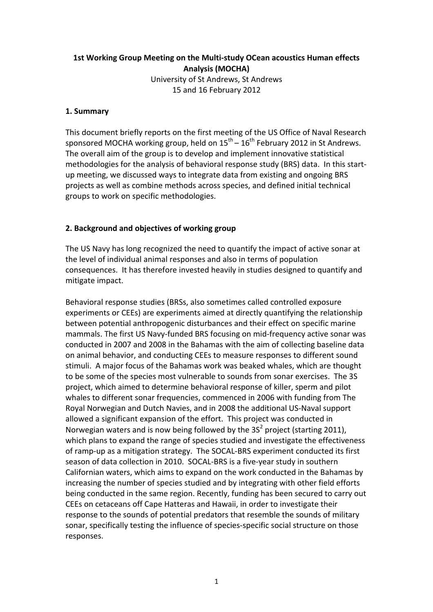## **1st Working Group Meeting on the Multi-study OCean acoustics Human effects Analysis\$(MOCHA)** University of St Andrews, St Andrews 15 and 16 February 2012

## 1. Summary

This document briefly reports on the first meeting of the US Office of Naval Research sponsored MOCHA working group, held on  $15^{th}$  –  $16^{th}$  February 2012 in St Andrews. The overall aim of the group is to develop and implement innovative statistical methodologies for the analysis of behavioral response study (BRS) data. In this startup meeting, we discussed ways to integrate data from existing and ongoing BRS projects as well as combine methods across species, and defined initial technical groups to work on specific methodologies.

## **2. Background and objectives of working group**

The US Navy has long recognized the need to quantify the impact of active sonar at the level of individual animal responses and also in terms of population consequences. It has therefore invested heavily in studies designed to quantify and mitigate impact.

Behavioral response studies (BRSs, also sometimes called controlled exposure experiments or CEEs) are experiments aimed at directly quantifying the relationship between potential anthropogenic disturbances and their effect on specific marine mammals. The first US Navy-funded BRS focusing on mid-frequency active sonar was conducted in 2007 and 2008 in the Bahamas with the aim of collecting baseline data on animal behavior, and conducting CEEs to measure responses to different sound stimuli. A major focus of the Bahamas work was beaked whales, which are thought to be some of the species most vulnerable to sounds from sonar exercises. The 3S project, which aimed to determine behavioral response of killer, sperm and pilot whales to different sonar frequencies, commenced in 2006 with funding from The Royal Norwegian and Dutch Navies, and in 2008 the additional US-Naval support allowed a significant expansion of the effort. This project was conducted in Norwegian waters and is now being followed by the  $3S<sup>2</sup>$  project (starting 2011), which plans to expand the range of species studied and investigate the effectiveness of ramp-up as a mitigation strategy. The SOCAL-BRS experiment conducted its first season of data collection in 2010. SOCAL-BRS is a five-year study in southern Californian waters, which aims to expand on the work conducted in the Bahamas by increasing the number of species studied and by integrating with other field efforts being conducted in the same region. Recently, funding has been secured to carry out CEEs on cetaceans off Cape Hatteras and Hawaii, in order to investigate their response to the sounds of potential predators that resemble the sounds of military sonar, specifically testing the influence of species-specific social structure on those responses.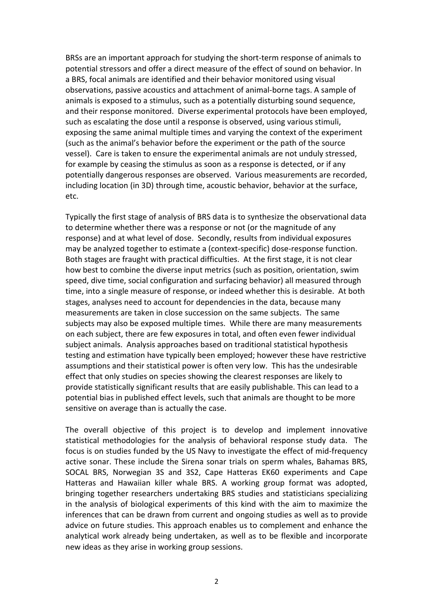BRSs are an important approach for studying the short-term response of animals to potential stressors and offer a direct measure of the effect of sound on behavior. In a BRS, focal animals are identified and their behavior monitored using visual observations, passive acoustics and attachment of animal-borne tags. A sample of animals is exposed to a stimulus, such as a potentially disturbing sound sequence, and their response monitored. Diverse experimental protocols have been employed, such as escalating the dose until a response is observed, using various stimuli, exposing the same animal multiple times and varying the context of the experiment (such as the animal's behavior before the experiment or the path of the source vessel). Care is taken to ensure the experimental animals are not unduly stressed, for example by ceasing the stimulus as soon as a response is detected, or if any potentially dangerous responses are observed. Various measurements are recorded, including location (in 3D) through time, acoustic behavior, behavior at the surface, etc.

Typically the first stage of analysis of BRS data is to synthesize the observational data to determine whether there was a response or not (or the magnitude of any response) and at what level of dose. Secondly, results from individual exposures may be analyzed together to estimate a (context-specific) dose-response function. Both stages are fraught with practical difficulties. At the first stage, it is not clear how best to combine the diverse input metrics (such as position, orientation, swim speed, dive time, social configuration and surfacing behavior) all measured through time, into a single measure of response, or indeed whether this is desirable. At both stages, analyses need to account for dependencies in the data, because many measurements are taken in close succession on the same subjects. The same subjects may also be exposed multiple times. While there are many measurements on each subject, there are few exposures in total, and often even fewer individual subject animals. Analysis approaches based on traditional statistical hypothesis testing and estimation have typically been employed; however these have restrictive assumptions and their statistical power is often very low. This has the undesirable effect that only studies on species showing the clearest responses are likely to provide statistically significant results that are easily publishable. This can lead to a potential bias in published effect levels, such that animals are thought to be more sensitive on average than is actually the case.

The overall objective of this project is to develop and implement innovative statistical methodologies for the analysis of behavioral response study data. The focus is on studies funded by the US Navy to investigate the effect of mid-frequency active sonar. These include the Sirena sonar trials on sperm whales, Bahamas BRS, SOCAL BRS, Norwegian 3S and 3S2, Cape Hatteras EK60 experiments and Cape Hatteras and Hawaiian killer whale BRS. A working group format was adopted, bringing together researchers undertaking BRS studies and statisticians specializing in the analysis of biological experiments of this kind with the aim to maximize the inferences that can be drawn from current and ongoing studies as well as to provide advice on future studies. This approach enables us to complement and enhance the analytical work already being undertaken, as well as to be flexible and incorporate new ideas as they arise in working group sessions.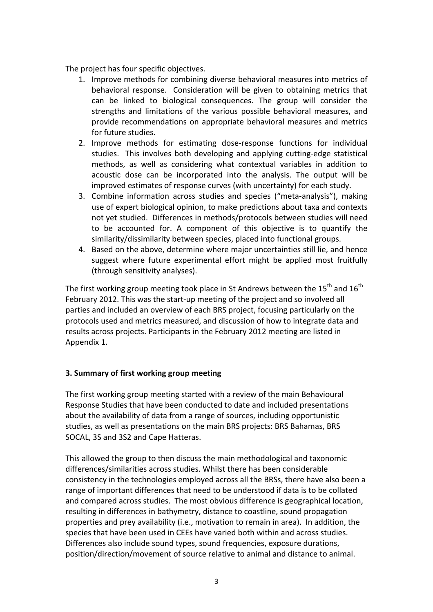The project has four specific objectives.

- 1. Improve methods for combining diverse behavioral measures into metrics of behavioral response. Consideration will be given to obtaining metrics that can be linked to biological consequences. The group will consider the strengths and limitations of the various possible behavioral measures, and provide recommendations on appropriate behavioral measures and metrics for future studies.
- 2. Improve methods for estimating dose-response functions for individual studies. This involves both developing and applying cutting-edge statistical methods, as well as considering what contextual variables in addition to acoustic dose can be incorporated into the analysis. The output will be improved estimates of response curves (with uncertainty) for each study.
- 3. Combine information across studies and species ("meta-analysis"), making use of expert biological opinion, to make predictions about taxa and contexts not yet studied. Differences in methods/protocols between studies will need to be accounted for. A component of this objective is to quantify the similarity/dissimilarity between species, placed into functional groups.
- 4. Based on the above, determine where major uncertainties still lie, and hence suggest where future experimental effort might be applied most fruitfully (through sensitivity analyses).

The first working group meeting took place in St Andrews between the 15<sup>th</sup> and 16<sup>th</sup> February 2012. This was the start-up meeting of the project and so involved all parties and included an overview of each BRS project, focusing particularly on the protocols used and metrics measured, and discussion of how to integrate data and results across projects. Participants in the February 2012 meeting are listed in Appendix 1.

## **3. Summary of first working group meeting**

The first working group meeting started with a review of the main Behavioural Response Studies that have been conducted to date and included presentations about the availability of data from a range of sources, including opportunistic studies, as well as presentations on the main BRS projects: BRS Bahamas, BRS SOCAL, 3S and 3S2 and Cape Hatteras.

This allowed the group to then discuss the main methodological and taxonomic differences/similarities across studies. Whilst there has been considerable consistency in the technologies employed across all the BRSs, there have also been a range of important differences that need to be understood if data is to be collated and compared across studies. The most obvious difference is geographical location, resulting in differences in bathymetry, distance to coastline, sound propagation properties and prey availability (i.e., motivation to remain in area). In addition, the species that have been used in CEEs have varied both within and across studies. Differences also include sound types, sound frequencies, exposure durations, position/direction/movement of source relative to animal and distance to animal.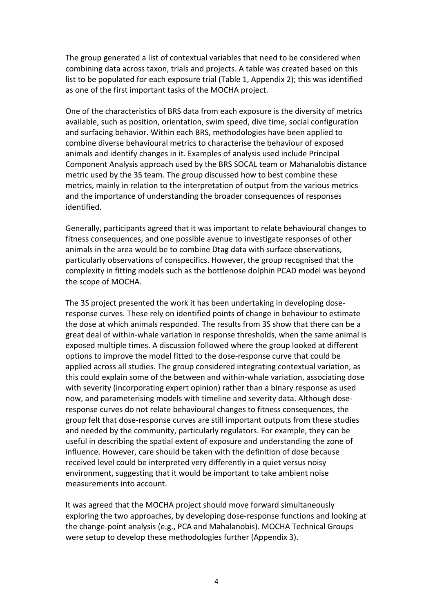The group generated a list of contextual variables that need to be considered when combining data across taxon, trials and projects. A table was created based on this list to be populated for each exposure trial (Table 1, Appendix 2); this was identified as one of the first important tasks of the MOCHA project.

One of the characteristics of BRS data from each exposure is the diversity of metrics available, such as position, orientation, swim speed, dive time, social configuration and surfacing behavior. Within each BRS, methodologies have been applied to combine diverse behavioural metrics to characterise the behaviour of exposed animals and identify changes in it. Examples of analysis used include Principal Component Analysis approach used by the BRS SOCAL team or Mahanalobis distance metric used by the 3S team. The group discussed how to best combine these metrics, mainly in relation to the interpretation of output from the various metrics and the importance of understanding the broader consequences of responses identified.

Generally, participants agreed that it was important to relate behavioural changes to fitness consequences, and one possible avenue to investigate responses of other animals in the area would be to combine Dtag data with surface observations, particularly observations of conspecifics. However, the group recognised that the complexity in fitting models such as the bottlenose dolphin PCAD model was beyond the scope of MOCHA.

The 3S project presented the work it has been undertaking in developing doseresponse curves. These rely on identified points of change in behaviour to estimate the dose at which animals responded. The results from 3S show that there can be a great deal of within-whale variation in response thresholds, when the same animal is exposed multiple times. A discussion followed where the group looked at different options to improve the model fitted to the dose-response curve that could be applied across all studies. The group considered integrating contextual variation, as this could explain some of the between and within-whale variation, associating dose with severity (incorporating expert opinion) rather than a binary response as used now, and parameterising models with timeline and severity data. Although doseresponse curves do not relate behavioural changes to fitness consequences, the group felt that dose-response curves are still important outputs from these studies and needed by the community, particularly regulators. For example, they can be useful in describing the spatial extent of exposure and understanding the zone of influence. However, care should be taken with the definition of dose because received level could be interpreted very differently in a quiet versus noisy environment, suggesting that it would be important to take ambient noise measurements into account.

It was agreed that the MOCHA project should move forward simultaneously exploring the two approaches, by developing dose-response functions and looking at the change-point analysis (e.g., PCA and Mahalanobis). MOCHA Technical Groups were setup to develop these methodologies further (Appendix 3).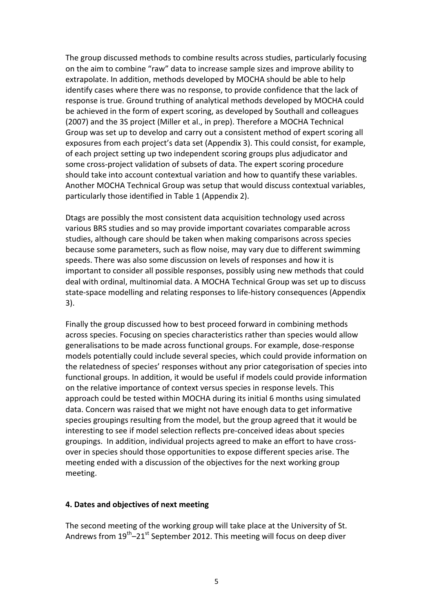The group discussed methods to combine results across studies, particularly focusing on the aim to combine "raw" data to increase sample sizes and improve ability to extrapolate. In addition, methods developed by MOCHA should be able to help identify cases where there was no response, to provide confidence that the lack of response is true. Ground truthing of analytical methods developed by MOCHA could be achieved in the form of expert scoring, as developed by Southall and colleagues (2007) and the 3S project (Miller et al., in prep). Therefore a MOCHA Technical Group was set up to develop and carry out a consistent method of expert scoring all exposures from each project's data set (Appendix 3). This could consist, for example, of each project setting up two independent scoring groups plus adjudicator and some cross-project validation of subsets of data. The expert scoring procedure should take into account contextual variation and how to quantify these variables. Another MOCHA Technical Group was setup that would discuss contextual variables, particularly those identified in Table 1 (Appendix 2).

Dtags are possibly the most consistent data acquisition technology used across various BRS studies and so may provide important covariates comparable across studies, although care should be taken when making comparisons across species because some parameters, such as flow noise, may vary due to different swimming speeds. There was also some discussion on levels of responses and how it is important to consider all possible responses, possibly using new methods that could deal with ordinal, multinomial data. A MOCHA Technical Group was set up to discuss state-space modelling and relating responses to life-history consequences (Appendix  $3$ .

Finally the group discussed how to best proceed forward in combining methods across species. Focusing on species characteristics rather than species would allow generalisations to be made across functional groups. For example, dose-response models potentially could include several species, which could provide information on the relatedness of species' responses without any prior categorisation of species into functional groups. In addition, it would be useful if models could provide information on the relative importance of context versus species in response levels. This approach could be tested within MOCHA during its initial 6 months using simulated data. Concern was raised that we might not have enough data to get informative species groupings resulting from the model, but the group agreed that it would be interesting to see if model selection reflects pre-conceived ideas about species groupings. In addition, individual projects agreed to make an effort to have crossover in species should those opportunities to expose different species arise. The meeting ended with a discussion of the objectives for the next working group meeting.

#### **4. Dates and objectives of next meeting**

The second meeting of the working group will take place at the University of St. Andrews from  $19^{th}$ –21st September 2012. This meeting will focus on deep diver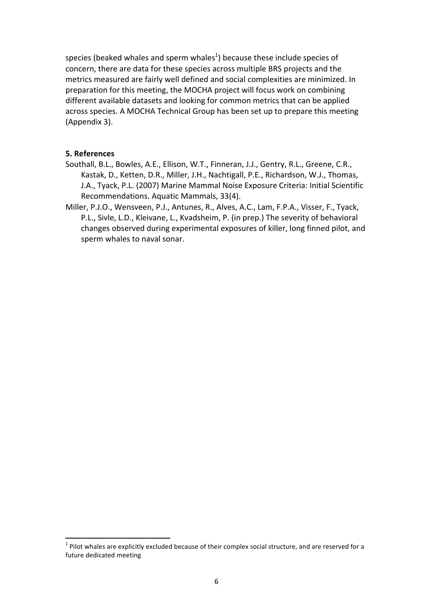species (beaked whales and sperm whales<sup>1</sup>) because these include species of concern, there are data for these species across multiple BRS projects and the metrics measured are fairly well defined and social complexities are minimized. In preparation for this meeting, the MOCHA project will focus work on combining different available datasets and looking for common metrics that can be applied across species. A MOCHA Technical Group has been set up to prepare this meeting (Appendix 3).

#### **5.\$References**

- Southall, B.L., Bowles, A.E., Ellison, W.T., Finneran, J.J., Gentry, R.L., Greene, C.R., Kastak, D., Ketten, D.R., Miller, J.H., Nachtigall, P.E., Richardson, W.J., Thomas, J.A., Tyack, P.L. (2007) Marine Mammal Noise Exposure Criteria: Initial Scientific Recommendations. Aquatic Mammals, 33(4).
- Miller, P.J.O., Wensveen, P.J., Antunes, R., Alves, A.C., Lam, F.P.A., Visser, F., Tyack, P.L., Sivle, L.D., Kleivane, L., Kvadsheim, P. (in prep.) The severity of behavioral changes observed during experimental exposures of killer, long finned pilot, and sperm whales to naval sonar.

!!!!!!!!!!!!!!!!!!!!!!!!!!!!!!!!!!!!!!!!!!!!!!!!!!!!!!!!!!!!

 $1$  Pilot whales are explicitly excluded because of their complex social structure, and are reserved for a future dedicated meeting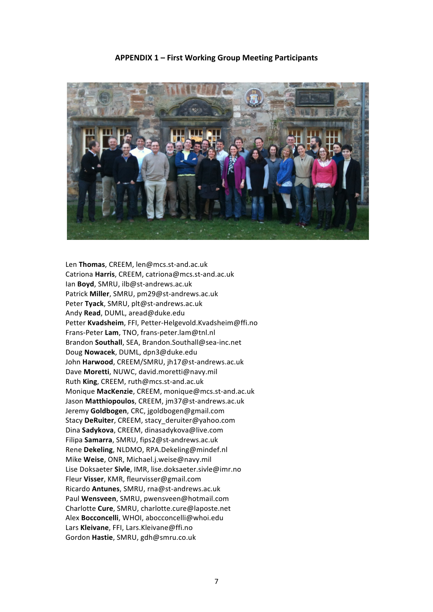

#### **APPENDIX\$1 – First\$Working\$Group\$Meeting\$Participants**

Len Thomas, CREEM, len@mcs.st-and.ac.uk Catriona Harris, CREEM, catriona@mcs.st-and.ac.uk Ian **Boyd**, SMRU, ilb@st-andrews.ac.uk Patrick Miller, SMRU, pm29@st-andrews.ac.uk Peter Tyack, SMRU, plt@st-andrews.ac.uk Andy!**Read**,!DUML,!aread@duke.edu Petter Kvadsheim, FFI, Petter-Helgevold.Kvadsheim@ffi.no Frans-Peter Lam, TNO, frans-peter.lam@tnl.nl Brandon **Southall**, SEA, Brandon.Southall@sea-inc.net Doug!**Nowacek**,!DUML,!dpn3@duke.edu John Harwood, CREEM/SMRU, jh17@st-andrews.ac.uk Dave Moretti, NUWC, david.moretti@navy.mil Ruth King, CREEM, ruth@mcs.st-and.ac.uk Monique MacKenzie, CREEM, monique@mcs.st-and.ac.uk Jason Matthiopoulos, CREEM, jm37@st-andrews.ac.uk Jeremy!**Goldbogen**, CRC, jgoldbogen@gmail.com Stacy DeRuiter, CREEM, stacy deruiter@yahoo.com Dina!**Sadykova**,!CREEM, dinasadykova@live.com Filipa Samarra, SMRU, fips2@st-andrews.ac.uk Rene **Dekeling**, NLDMO, RPA.Dekeling@mindef.nl Mike Weise, ONR, Michael.j.weise@navy.mil Lise Doksaeter **Sivle**, IMR, lise.doksaeter.sivle@imr.no Fleur Visser, KMR, fleurvisser@gmail.com Ricardo **Antunes**, SMRU, rna@st-andrews.ac.uk Paul Wensveen, SMRU, pwensveen@hotmail.com Charlotte!**Cure**,!SMRU,!charlotte.cure@laposte.net Alex **Bocconcelli**, WHOI, abocconcelli@whoi.edu Lars Kleivane, FFI, Lars.Kleivane@ffi.no Gordon!**Hastie**,!SMRU,!gdh@smru.co.uk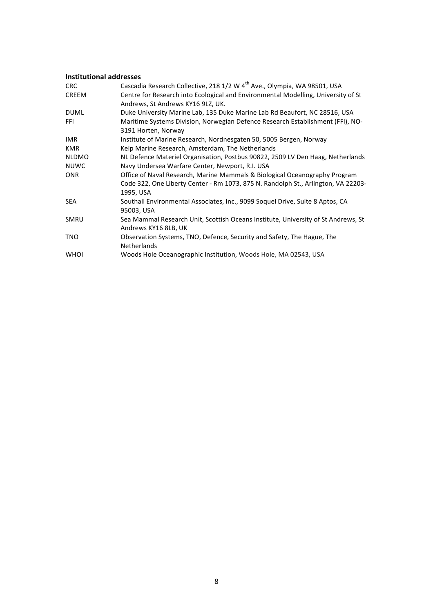#### **Institutional addresses**

| <b>CRC</b>   | Cascadia Research Collective, 218 1/2 W 4 <sup>th</sup> Ave., Olympia, WA 98501, USA |  |
|--------------|--------------------------------------------------------------------------------------|--|
| <b>CREEM</b> | Centre for Research into Ecological and Environmental Modelling, University of St    |  |
|              | Andrews, St Andrews KY16 9LZ, UK.                                                    |  |
| <b>DUML</b>  | Duke University Marine Lab, 135 Duke Marine Lab Rd Beaufort, NC 28516, USA           |  |
| <b>FFI</b>   | Maritime Systems Division, Norwegian Defence Research Establishment (FFI), NO-       |  |
|              | 3191 Horten, Norway                                                                  |  |
| IMR.         | Institute of Marine Research, Nordnesgaten 50, 5005 Bergen, Norway                   |  |
| <b>KMR</b>   | Kelp Marine Research, Amsterdam, The Netherlands                                     |  |
| <b>NLDMO</b> | NL Defence Materiel Organisation, Postbus 90822, 2509 LV Den Haag, Netherlands       |  |
| <b>NUWC</b>  | Navy Undersea Warfare Center, Newport, R.I. USA                                      |  |
| ONR          | Office of Naval Research, Marine Mammals & Biological Oceanography Program           |  |
|              | Code 322, One Liberty Center - Rm 1073, 875 N. Randolph St., Arlington, VA 22203-    |  |
|              | 1995, USA                                                                            |  |
| <b>SEA</b>   | Southall Environmental Associates, Inc., 9099 Soquel Drive, Suite 8 Aptos, CA        |  |
|              | 95003, USA                                                                           |  |
| SMRU         | Sea Mammal Research Unit, Scottish Oceans Institute, University of St Andrews, St    |  |
|              | Andrews KY16 8LB, UK                                                                 |  |
| <b>TNO</b>   | Observation Systems, TNO, Defence, Security and Safety, The Hague, The               |  |
|              | <b>Netherlands</b>                                                                   |  |
| <b>WHOI</b>  | Woods Hole Oceanographic Institution, Woods Hole, MA 02543, USA                      |  |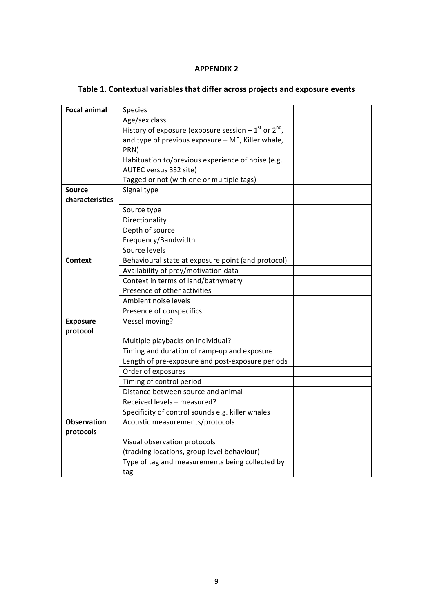## **APPENDIX 2**

| <b>Focal animal</b> | <b>Species</b>                                                |  |
|---------------------|---------------------------------------------------------------|--|
|                     | Age/sex class                                                 |  |
|                     | History of exposure (exposure session $-1^{st}$ or $2^{nd}$ , |  |
|                     | and type of previous exposure - MF, Killer whale,             |  |
|                     | PRN)                                                          |  |
|                     | Habituation to/previous experience of noise (e.g.             |  |
|                     | AUTEC versus 3S2 site)                                        |  |
|                     | Tagged or not (with one or multiple tags)                     |  |
| <b>Source</b>       | Signal type                                                   |  |
| characteristics     |                                                               |  |
|                     | Source type                                                   |  |
|                     | Directionality                                                |  |
|                     | Depth of source                                               |  |
|                     | Frequency/Bandwidth                                           |  |
|                     | Source levels                                                 |  |
| <b>Context</b>      | Behavioural state at exposure point (and protocol)            |  |
|                     | Availability of prey/motivation data                          |  |
|                     | Context in terms of land/bathymetry                           |  |
|                     | Presence of other activities                                  |  |
|                     | Ambient noise levels                                          |  |
|                     | Presence of conspecifics                                      |  |
| <b>Exposure</b>     | Vessel moving?                                                |  |
| protocol            |                                                               |  |
|                     | Multiple playbacks on individual?                             |  |
|                     | Timing and duration of ramp-up and exposure                   |  |
|                     | Length of pre-exposure and post-exposure periods              |  |
|                     | Order of exposures                                            |  |
|                     | Timing of control period                                      |  |
|                     | Distance between source and animal                            |  |
|                     | Received levels - measured?                                   |  |
|                     | Specificity of control sounds e.g. killer whales              |  |
| <b>Observation</b>  | Acoustic measurements/protocols                               |  |
| protocols           |                                                               |  |
|                     | Visual observation protocols                                  |  |
|                     | (tracking locations, group level behaviour)                   |  |
|                     | Type of tag and measurements being collected by               |  |
|                     | tag                                                           |  |

# Table 1. Contextual variables that differ across projects and exposure events